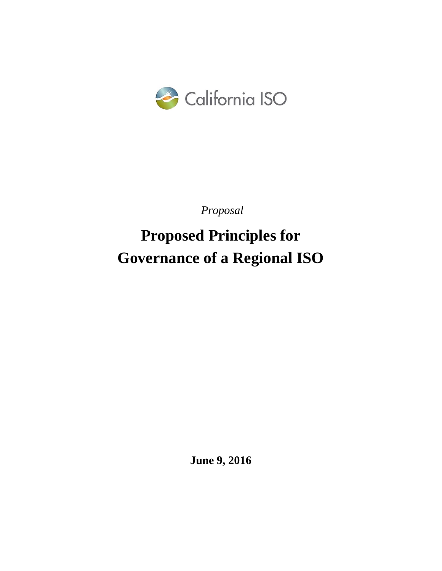

*Proposal*

**Proposed Principles for Governance of a Regional ISO**

**June 9, 2016**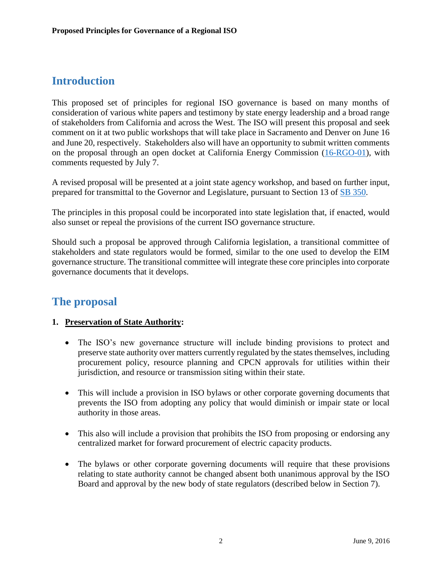# **Introduction**

This proposed set of principles for regional ISO governance is based on many months of consideration of various white papers and testimony by state energy leadership and a broad range of stakeholders from California and across the West. The ISO will present this proposal and seek comment on it at two public workshops that will take place in Sacramento and Denver on June 16 and June 20, respectively. Stakeholders also will have an opportunity to submit written comments on the proposal through an open docket at California Energy Commission [\(16-RGO-01\)](http://www.energy.ca.gov/sb350/regional_grid/documents/index.html), with comments requested by July 7.

A revised proposal will be presented at a joint state agency workshop, and based on further input, prepared for transmittal to the Governor and Legislature, pursuant to Section 13 of [SB 350.](https://leginfo.legislature.ca.gov/faces/billNavClient.xhtml?bill_id=201520160SB350)

The principles in this proposal could be incorporated into state legislation that, if enacted, would also sunset or repeal the provisions of the current ISO governance structure.

Should such a proposal be approved through California legislation, a transitional committee of stakeholders and state regulators would be formed, similar to the one used to develop the EIM governance structure. The transitional committee will integrate these core principles into corporate governance documents that it develops.

# **The proposal**

# **1. Preservation of State Authority:**

- The ISO's new governance structure will include binding provisions to protect and preserve state authority over matters currently regulated by the states themselves, including procurement policy, resource planning and CPCN approvals for utilities within their jurisdiction, and resource or transmission siting within their state.
- This will include a provision in ISO bylaws or other corporate governing documents that prevents the ISO from adopting any policy that would diminish or impair state or local authority in those areas.
- This also will include a provision that prohibits the ISO from proposing or endorsing any centralized market for forward procurement of electric capacity products.
- The bylaws or other corporate governing documents will require that these provisions relating to state authority cannot be changed absent both unanimous approval by the ISO Board and approval by the new body of state regulators (described below in Section 7).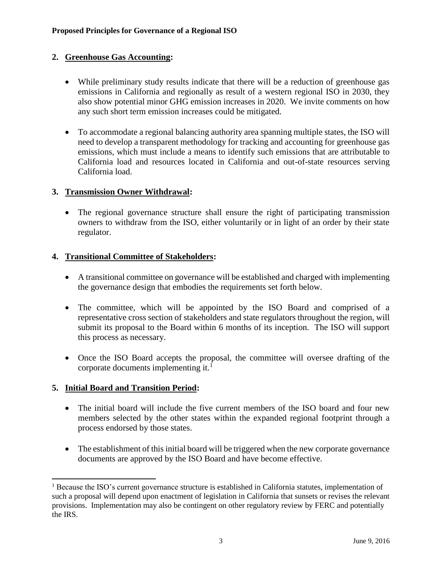# **2. Greenhouse Gas Accounting:**

- While preliminary study results indicate that there will be a reduction of greenhouse gas emissions in California and regionally as result of a western regional ISO in 2030, they also show potential minor GHG emission increases in 2020. We invite comments on how any such short term emission increases could be mitigated.
- To accommodate a regional balancing authority area spanning multiple states, the ISO will need to develop a transparent methodology for tracking and accounting for greenhouse gas emissions, which must include a means to identify such emissions that are attributable to California load and resources located in California and out-of-state resources serving California load.

#### **3. Transmission Owner Withdrawal:**

 The regional governance structure shall ensure the right of participating transmission owners to withdraw from the ISO, either voluntarily or in light of an order by their state regulator.

#### **4. Transitional Committee of Stakeholders:**

- A transitional committee on governance will be established and charged with implementing the governance design that embodies the requirements set forth below.
- The committee, which will be appointed by the ISO Board and comprised of a representative cross section of stakeholders and state regulators throughout the region, will submit its proposal to the Board within 6 months of its inception. The ISO will support this process as necessary.
- Once the ISO Board accepts the proposal, the committee will oversee drafting of the corporate documents implementing it. $<sup>1</sup>$ </sup>

# **5. Initial Board and Transition Period:**

l

- The initial board will include the five current members of the ISO board and four new members selected by the other states within the expanded regional footprint through a process endorsed by those states.
- The establishment of this initial board will be triggered when the new corporate governance documents are approved by the ISO Board and have become effective.

<sup>&</sup>lt;sup>1</sup> Because the ISO's current governance structure is established in California statutes, implementation of such a proposal will depend upon enactment of legislation in California that sunsets or revises the relevant provisions. Implementation may also be contingent on other regulatory review by FERC and potentially the IRS.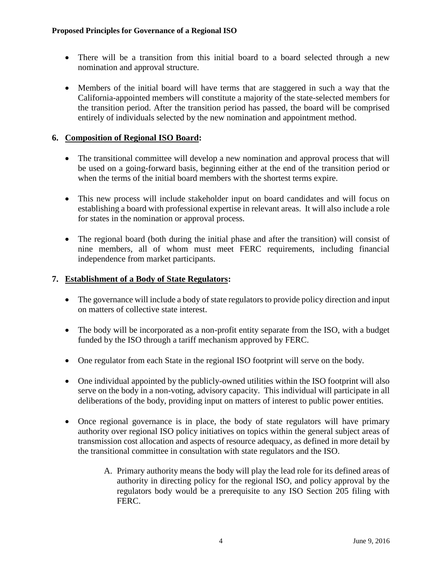- There will be a transition from this initial board to a board selected through a new nomination and approval structure.
- Members of the initial board will have terms that are staggered in such a way that the California-appointed members will constitute a majority of the state-selected members for the transition period. After the transition period has passed, the board will be comprised entirely of individuals selected by the new nomination and appointment method.

# **6. Composition of Regional ISO Board:**

- The transitional committee will develop a new nomination and approval process that will be used on a going-forward basis, beginning either at the end of the transition period or when the terms of the initial board members with the shortest terms expire.
- This new process will include stakeholder input on board candidates and will focus on establishing a board with professional expertise in relevant areas. It will also include a role for states in the nomination or approval process.
- The regional board (both during the initial phase and after the transition) will consist of nine members, all of whom must meet FERC requirements, including financial independence from market participants.

# **7. Establishment of a Body of State Regulators:**

- The governance will include a body of state regulators to provide policy direction and input on matters of collective state interest.
- The body will be incorporated as a non-profit entity separate from the ISO, with a budget funded by the ISO through a tariff mechanism approved by FERC.
- One regulator from each State in the regional ISO footprint will serve on the body.
- One individual appointed by the publicly-owned utilities within the ISO footprint will also serve on the body in a non-voting, advisory capacity. This individual will participate in all deliberations of the body, providing input on matters of interest to public power entities.
- Once regional governance is in place, the body of state regulators will have primary authority over regional ISO policy initiatives on topics within the general subject areas of transmission cost allocation and aspects of resource adequacy, as defined in more detail by the transitional committee in consultation with state regulators and the ISO.
	- A. Primary authority means the body will play the lead role for its defined areas of authority in directing policy for the regional ISO, and policy approval by the regulators body would be a prerequisite to any ISO Section 205 filing with FERC.